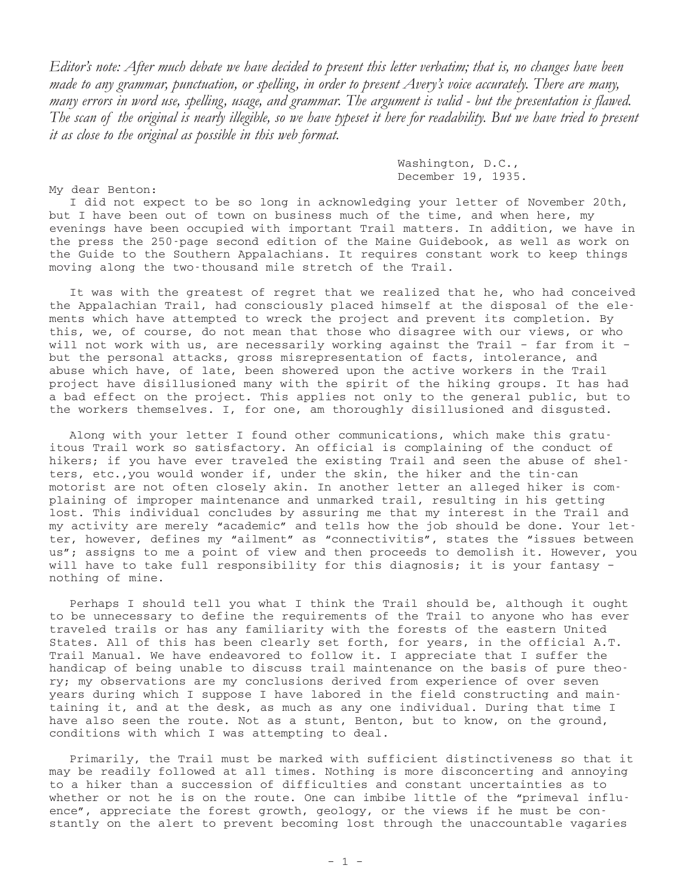*Editor's note: After much debate we have decided to present this letter verbatim; that is, no changes have been made to any grammar, punctuation, or spelling, in order to present Avery's voice accurately. There are many, many errors in word use, spelling, usage, and grammar. The argument is valid - but the presentation is flawed. The scan of the original is nearly illegible, so we have typeset it here for readability. But we have tried to present it as close to the original as possible in this web format.*

> Washington, D.C., December 19, 1935.

My dear Benton:

I did not expect to be so long in acknowledging your letter of November 20th, but I have been out of town on business much of the time, and when here, my evenings have been occupied with important Trail matters. In addition, we have in the press the 250-page second edition of the Maine Guidebook, as well as work on the Guide to the Southern Appalachians. It requires constant work to keep things moving along the two-thousand mile stretch of the Trail.

It was with the greatest of regret that we realized that he, who had conceived the Appalachian Trail, had consciously placed himself at the disposal of the elements which have attempted to wreck the project and prevent its completion. By this, we, of course, do not mean that those who disagree with our views, or who will not work with us, are necessarily working against the Trail – far from it – but the personal attacks, gross misrepresentation of facts, intolerance, and abuse which have, of late, been showered upon the active workers in the Trail project have disillusioned many with the spirit of the hiking groups. It has had a bad effect on the project. This applies not only to the general public, but to the workers themselves. I, for one, am thoroughly disillusioned and disgusted.

Along with your letter I found other communications, which make this gratuitous Trail work so satisfactory. An official is complaining of the conduct of hikers; if you have ever traveled the existing Trail and seen the abuse of shelters, etc.,you would wonder if, under the skin, the hiker and the tin-can motorist are not often closely akin. In another letter an alleged hiker is complaining of improper maintenance and unmarked trail, resulting in his getting lost. This individual concludes by assuring me that my interest in the Trail and my activity are merely "academic" and tells how the job should be done. Your letter, however, defines my "ailment" as "connectivitis", states the "issues between us"; assigns to me a point of view and then proceeds to demolish it. However, you will have to take full responsibility for this diagnosis; it is your fantasy – nothing of mine.

Perhaps I should tell you what I think the Trail should be, although it ought to be unnecessary to define the requirements of the Trail to anyone who has ever traveled trails or has any familiarity with the forests of the eastern United States. All of this has been clearly set forth, for years, in the official A.T. Trail Manual. We have endeavored to follow it. I appreciate that I suffer the handicap of being unable to discuss trail maintenance on the basis of pure theory; my observations are my conclusions derived from experience of over seven years during which I suppose I have labored in the field constructing and maintaining it, and at the desk, as much as any one individual. During that time I have also seen the route. Not as a stunt, Benton, but to know, on the ground, conditions with which I was attempting to deal.

Primarily, the Trail must be marked with sufficient distinctiveness so that it may be readily followed at all times. Nothing is more disconcerting and annoying to a hiker than a succession of difficulties and constant uncertainties as to whether or not he is on the route. One can imbibe little of the "primeval influence", appreciate the forest growth, geology, or the views if he must be constantly on the alert to prevent becoming lost through the unaccountable vagaries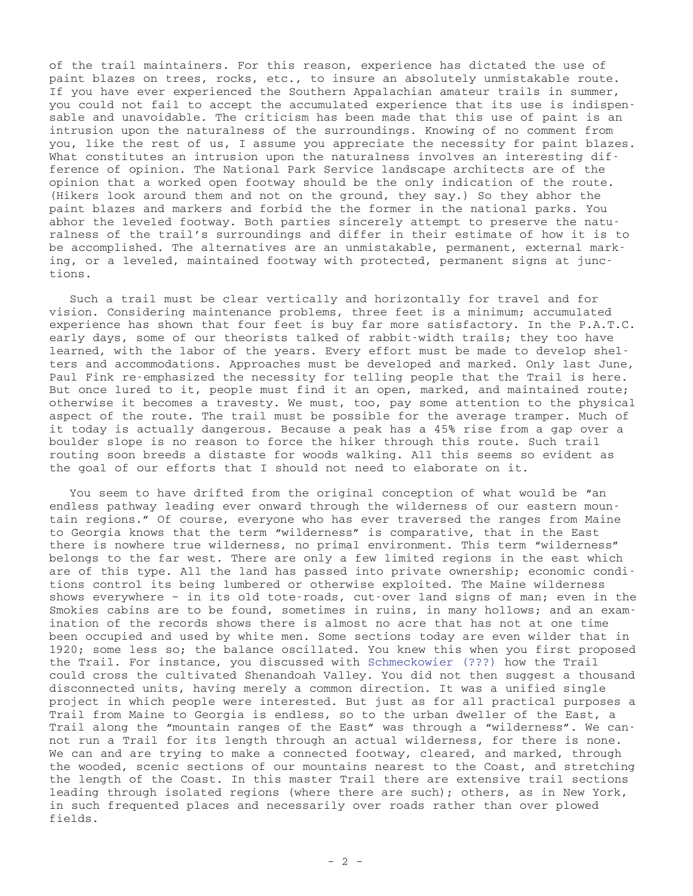of the trail maintainers. For this reason, experience has dictated the use of paint blazes on trees, rocks, etc., to insure an absolutely unmistakable route. If you have ever experienced the Southern Appalachian amateur trails in summer, you could not fail to accept the accumulated experience that its use is indispensable and unavoidable. The criticism has been made that this use of paint is an intrusion upon the naturalness of the surroundings. Knowing of no comment from you, like the rest of us, I assume you appreciate the necessity for paint blazes. What constitutes an intrusion upon the naturalness involves an interesting difference of opinion. The National Park Service landscape architects are of the opinion that a worked open footway should be the only indication of the route. (Hikers look around them and not on the ground, they say.) So they abhor the paint blazes and markers and forbid the the former in the national parks. You abhor the leveled footway. Both parties sincerely attempt to preserve the naturalness of the trail's surroundings and differ in their estimate of how it is to be accomplished. The alternatives are an unmistakable, permanent, external marking, or a leveled, maintained footway with protected, permanent signs at junctions.

Such a trail must be clear vertically and horizontally for travel and for vision. Considering maintenance problems, three feet is a minimum; accumulated experience has shown that four feet is buy far more satisfactory. In the P.A.T.C. early days, some of our theorists talked of rabbit-width trails; they too have learned, with the labor of the years. Every effort must be made to develop shelters and accommodations. Approaches must be developed and marked. Only last June, Paul Fink re-emphasized the necessity for telling people that the Trail is here. But once lured to it, people must find it an open, marked, and maintained route; otherwise it becomes a travesty. We must, too, pay some attention to the physical aspect of the route. The trail must be possible for the average tramper. Much of it today is actually dangerous. Because a peak has a 45% rise from a gap over a boulder slope is no reason to force the hiker through this route. Such trail routing soon breeds a distaste for woods walking. All this seems so evident as the goal of our efforts that I should not need to elaborate on it.

You seem to have drifted from the original conception of what would be "an endless pathway leading ever onward through the wilderness of our eastern mountain regions." Of course, everyone who has ever traversed the ranges from Maine to Georgia knows that the term "wilderness" is comparative, that in the East there is nowhere true wilderness, no primal environment. This term "wilderness" belongs to the far west. There are only a few limited regions in the east which are of this type. All the land has passed into private ownership; economic conditions control its being lumbered or otherwise exploited. The Maine wilderness shows everywhere – in its old tote-roads, cut-over land signs of man; even in the Smokies cabins are to be found, sometimes in ruins, in many hollows; and an examination of the records shows there is almost no acre that has not at one time been occupied and used by white men. Some sections today are even wilder that in 1920; some less so; the balance oscillated. You knew this when you first proposed the Trail. For instance, you discussed with Schmeckowier (???) how the Trail could cross the cultivated Shenandoah Valley. You did not then suggest a thousand disconnected units, having merely a common direction. It was a unified single project in which people were interested. But just as for all practical purposes a Trail from Maine to Georgia is endless, so to the urban dweller of the East, a Trail along the "mountain ranges of the East" was through a "wilderness". We cannot run a Trail for its length through an actual wilderness, for there is none. We can and are trying to make a connected footway, cleared, and marked, through the wooded, scenic sections of our mountains nearest to the Coast, and stretching the length of the Coast. In this master Trail there are extensive trail sections leading through isolated regions (where there are such); others, as in New York, in such frequented places and necessarily over roads rather than over plowed fields.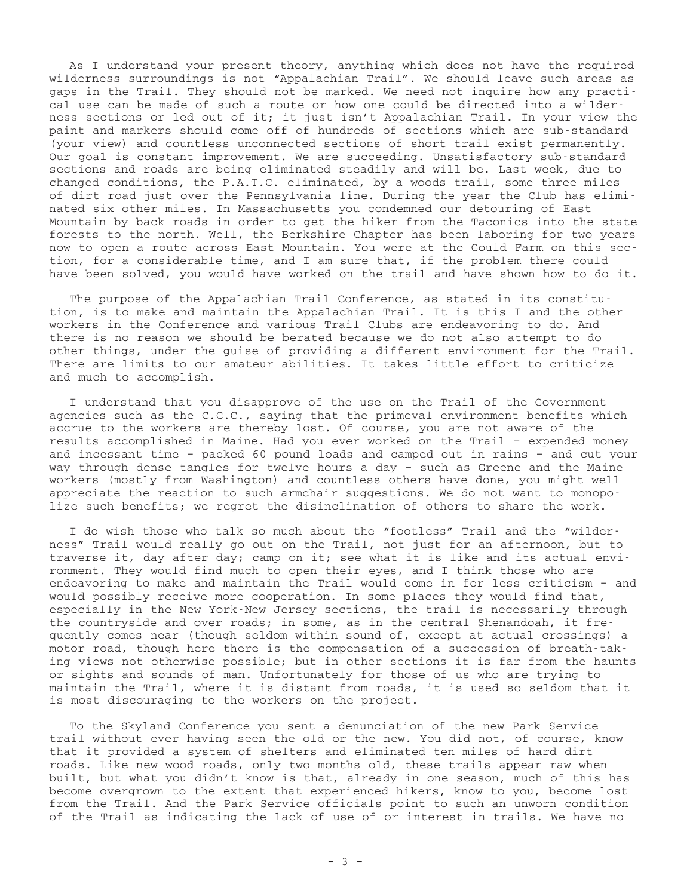As I understand your present theory, anything which does not have the required wilderness surroundings is not "Appalachian Trail". We should leave such areas as gaps in the Trail. They should not be marked. We need not inquire how any practical use can be made of such a route or how one could be directed into a wilderness sections or led out of it; it just isn't Appalachian Trail. In your view the paint and markers should come off of hundreds of sections which are sub-standard (your view) and countless unconnected sections of short trail exist permanently. Our goal is constant improvement. We are succeeding. Unsatisfactory sub-standard sections and roads are being eliminated steadily and will be. Last week, due to changed conditions, the P.A.T.C. eliminated, by a woods trail, some three miles of dirt road just over the Pennsylvania line. During the year the Club has eliminated six other miles. In Massachusetts you condemned our detouring of East Mountain by back roads in order to get the hiker from the Taconics into the state forests to the north. Well, the Berkshire Chapter has been laboring for two years now to open a route across East Mountain. You were at the Gould Farm on this section, for a considerable time, and I am sure that, if the problem there could have been solved, you would have worked on the trail and have shown how to do it.

The purpose of the Appalachian Trail Conference, as stated in its constitution, is to make and maintain the Appalachian Trail. It is this I and the other workers in the Conference and various Trail Clubs are endeavoring to do. And there is no reason we should be berated because we do not also attempt to do other things, under the guise of providing a different environment for the Trail. There are limits to our amateur abilities. It takes little effort to criticize and much to accomplish.

I understand that you disapprove of the use on the Trail of the Government agencies such as the C.C.C., saying that the primeval environment benefits which accrue to the workers are thereby lost. Of course, you are not aware of the results accomplished in Maine. Had you ever worked on the Trail – expended money and incessant time – packed 60 pound loads and camped out in rains – and cut your way through dense tangles for twelve hours a day – such as Greene and the Maine workers (mostly from Washington) and countless others have done, you might well appreciate the reaction to such armchair suggestions. We do not want to monopolize such benefits; we regret the disinclination of others to share the work.

I do wish those who talk so much about the "footless" Trail and the "wilderness" Trail would really go out on the Trail, not just for an afternoon, but to traverse it, day after day; camp on it; see what it is like and its actual environment. They would find much to open their eyes, and I think those who are endeavoring to make and maintain the Trail would come in for less criticism – and would possibly receive more cooperation. In some places they would find that, especially in the New York-New Jersey sections, the trail is necessarily through the countryside and over roads; in some, as in the central Shenandoah, it frequently comes near (though seldom within sound of, except at actual crossings) a motor road, though here there is the compensation of a succession of breath-taking views not otherwise possible; but in other sections it is far from the haunts or sights and sounds of man. Unfortunately for those of us who are trying to maintain the Trail, where it is distant from roads, it is used so seldom that it is most discouraging to the workers on the project.

To the Skyland Conference you sent a denunciation of the new Park Service trail without ever having seen the old or the new. You did not, of course, know that it provided a system of shelters and eliminated ten miles of hard dirt roads. Like new wood roads, only two months old, these trails appear raw when built, but what you didn't know is that, already in one season, much of this has become overgrown to the extent that experienced hikers, know to you, become lost from the Trail. And the Park Service officials point to such an unworn condition of the Trail as indicating the lack of use of or interest in trails. We have no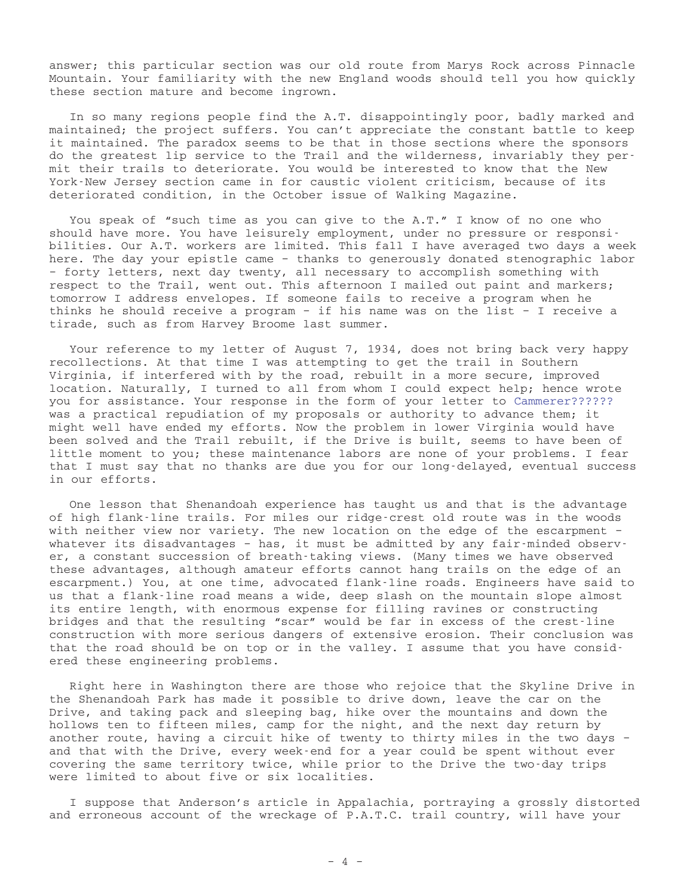answer; this particular section was our old route from Marys Rock across Pinnacle Mountain. Your familiarity with the new England woods should tell you how quickly these section mature and become ingrown.

In so many regions people find the A.T. disappointingly poor, badly marked and maintained; the project suffers. You can't appreciate the constant battle to keep it maintained. The paradox seems to be that in those sections where the sponsors do the greatest lip service to the Trail and the wilderness, invariably they permit their trails to deteriorate. You would be interested to know that the New York-New Jersey section came in for caustic violent criticism, because of its deteriorated condition, in the October issue of Walking Magazine.

You speak of "such time as you can give to the A.T." I know of no one who should have more. You have leisurely employment, under no pressure or responsibilities. Our A.T. workers are limited. This fall I have averaged two days a week here. The day your epistle came – thanks to generously donated stenographic labor – forty letters, next day twenty, all necessary to accomplish something with respect to the Trail, went out. This afternoon I mailed out paint and markers; tomorrow I address envelopes. If someone fails to receive a program when he thinks he should receive a program – if his name was on the list – I receive a tirade, such as from Harvey Broome last summer.

Your reference to my letter of August 7, 1934, does not bring back very happy recollections. At that time I was attempting to get the trail in Southern Virginia, if interfered with by the road, rebuilt in a more secure, improved location. Naturally, I turned to all from whom I could expect help; hence wrote you for assistance. Your response in the form of your letter to Cammerer?????? was a practical repudiation of my proposals or authority to advance them; it might well have ended my efforts. Now the problem in lower Virginia would have been solved and the Trail rebuilt, if the Drive is built, seems to have been of little moment to you; these maintenance labors are none of your problems. I fear that I must say that no thanks are due you for our long-delayed, eventual success in our efforts.

One lesson that Shenandoah experience has taught us and that is the advantage of high flank-line trails. For miles our ridge-crest old route was in the woods with neither view nor variety. The new location on the edge of the escarpment – whatever its disadvantages – has, it must be admitted by any fair-minded observer, a constant succession of breath-taking views. (Many times we have observed these advantages, although amateur efforts cannot hang trails on the edge of an escarpment.) You, at one time, advocated flank-line roads. Engineers have said to us that a flank-line road means a wide, deep slash on the mountain slope almost its entire length, with enormous expense for filling ravines or constructing bridges and that the resulting "scar" would be far in excess of the crest-line construction with more serious dangers of extensive erosion. Their conclusion was that the road should be on top or in the valley. I assume that you have considered these engineering problems.

Right here in Washington there are those who rejoice that the Skyline Drive in the Shenandoah Park has made it possible to drive down, leave the car on the Drive, and taking pack and sleeping bag, hike over the mountains and down the hollows ten to fifteen miles, camp for the night, and the next day return by another route, having a circuit hike of twenty to thirty miles in the two days – and that with the Drive, every week-end for a year could be spent without ever covering the same territory twice, while prior to the Drive the two-day trips were limited to about five or six localities.

I suppose that Anderson's article in Appalachia, portraying a grossly distorted and erroneous account of the wreckage of P.A.T.C. trail country, will have your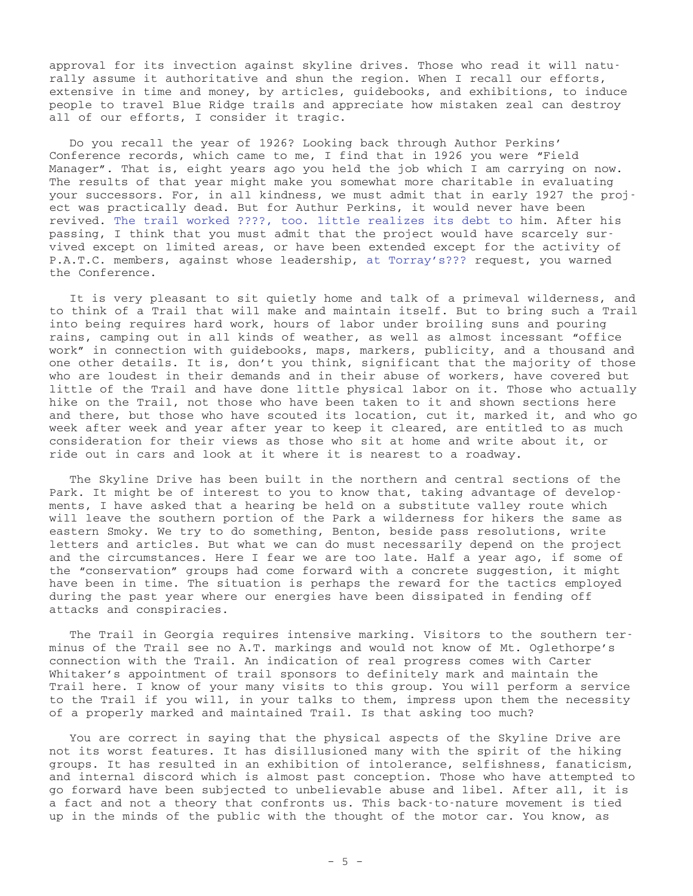approval for its invection against skyline drives. Those who read it will naturally assume it authoritative and shun the region. When I recall our efforts, extensive in time and money, by articles, guidebooks, and exhibitions, to induce people to travel Blue Ridge trails and appreciate how mistaken zeal can destroy all of our efforts, I consider it tragic.

Do you recall the year of 1926? Looking back through Author Perkins' Conference records, which came to me, I find that in 1926 you were "Field Manager". That is, eight years ago you held the job which I am carrying on now. The results of that year might make you somewhat more charitable in evaluating your successors. For, in all kindness, we must admit that in early 1927 the project was practically dead. But for Authur Perkins, it would never have been revived. The trail worked ????, too. little realizes its debt to him. After his passing, I think that you must admit that the project would have scarcely survived except on limited areas, or have been extended except for the activity of P.A.T.C. members, against whose leadership, at Torray's??? request, you warned the Conference.

It is very pleasant to sit quietly home and talk of a primeval wilderness, and to think of a Trail that will make and maintain itself. But to bring such a Trail into being requires hard work, hours of labor under broiling suns and pouring rains, camping out in all kinds of weather, as well as almost incessant "office work" in connection with guidebooks, maps, markers, publicity, and a thousand and one other details. It is, don't you think, significant that the majority of those who are loudest in their demands and in their abuse of workers, have covered but little of the Trail and have done little physical labor on it. Those who actually hike on the Trail, not those who have been taken to it and shown sections here and there, but those who have scouted its location, cut it, marked it, and who go week after week and year after year to keep it cleared, are entitled to as much consideration for their views as those who sit at home and write about it, or ride out in cars and look at it where it is nearest to a roadway.

The Skyline Drive has been built in the northern and central sections of the Park. It might be of interest to you to know that, taking advantage of developments, I have asked that a hearing be held on a substitute valley route which will leave the southern portion of the Park a wilderness for hikers the same as eastern Smoky. We try to do something, Benton, beside pass resolutions, write letters and articles. But what we can do must necessarily depend on the project and the circumstances. Here I fear we are too late. Half a year ago, if some of the "conservation" groups had come forward with a concrete suggestion, it might have been in time. The situation is perhaps the reward for the tactics employed during the past year where our energies have been dissipated in fending off attacks and conspiracies.

The Trail in Georgia requires intensive marking. Visitors to the southern terminus of the Trail see no A.T. markings and would not know of Mt. Oglethorpe's connection with the Trail. An indication of real progress comes with Carter Whitaker's appointment of trail sponsors to definitely mark and maintain the Trail here. I know of your many visits to this group. You will perform a service to the Trail if you will, in your talks to them, impress upon them the necessity of a properly marked and maintained Trail. Is that asking too much?

You are correct in saying that the physical aspects of the Skyline Drive are not its worst features. It has disillusioned many with the spirit of the hiking groups. It has resulted in an exhibition of intolerance, selfishness, fanaticism, and internal discord which is almost past conception. Those who have attempted to go forward have been subjected to unbelievable abuse and libel. After all, it is a fact and not a theory that confronts us. This back-to-nature movement is tied up in the minds of the public with the thought of the motor car. You know, as